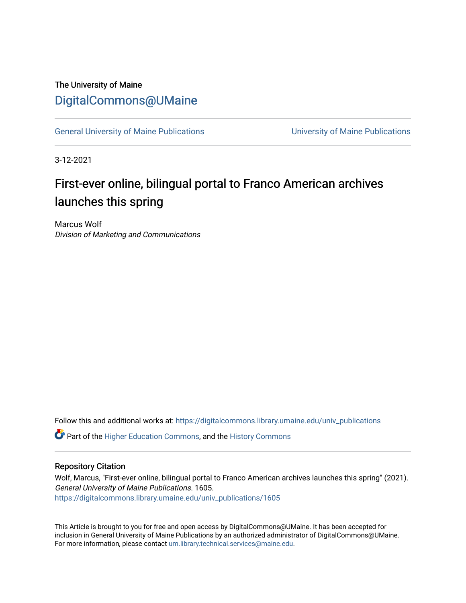# The University of Maine [DigitalCommons@UMaine](https://digitalcommons.library.umaine.edu/)

[General University of Maine Publications](https://digitalcommons.library.umaine.edu/univ_publications) [University of Maine Publications](https://digitalcommons.library.umaine.edu/umaine_publications) 

3-12-2021

# First-ever online, bilingual portal to Franco American archives launches this spring

Marcus Wolf Division of Marketing and Communications

Follow this and additional works at: [https://digitalcommons.library.umaine.edu/univ\\_publications](https://digitalcommons.library.umaine.edu/univ_publications?utm_source=digitalcommons.library.umaine.edu%2Funiv_publications%2F1605&utm_medium=PDF&utm_campaign=PDFCoverPages) 

**C** Part of the [Higher Education Commons,](http://network.bepress.com/hgg/discipline/1245?utm_source=digitalcommons.library.umaine.edu%2Funiv_publications%2F1605&utm_medium=PDF&utm_campaign=PDFCoverPages) and the [History Commons](http://network.bepress.com/hgg/discipline/489?utm_source=digitalcommons.library.umaine.edu%2Funiv_publications%2F1605&utm_medium=PDF&utm_campaign=PDFCoverPages)

#### Repository Citation

Wolf, Marcus, "First-ever online, bilingual portal to Franco American archives launches this spring" (2021). General University of Maine Publications. 1605. [https://digitalcommons.library.umaine.edu/univ\\_publications/1605](https://digitalcommons.library.umaine.edu/univ_publications/1605?utm_source=digitalcommons.library.umaine.edu%2Funiv_publications%2F1605&utm_medium=PDF&utm_campaign=PDFCoverPages)

This Article is brought to you for free and open access by DigitalCommons@UMaine. It has been accepted for inclusion in General University of Maine Publications by an authorized administrator of DigitalCommons@UMaine. For more information, please contact [um.library.technical.services@maine.edu](mailto:um.library.technical.services@maine.edu).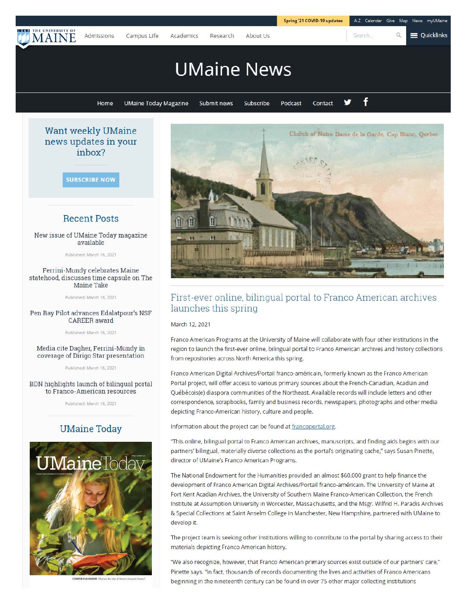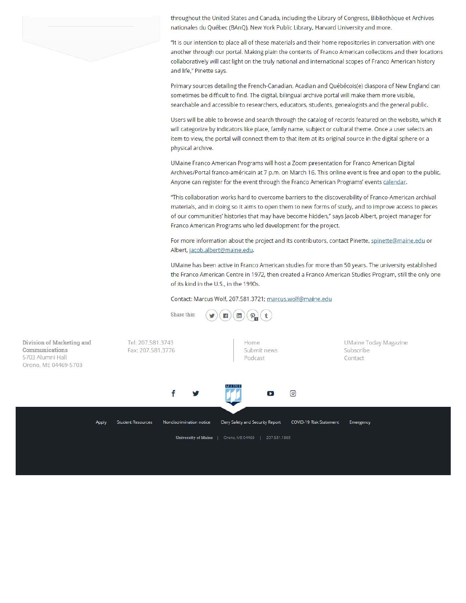

throughout the United States and Canada, including the Library of Congress, Bibliothèque et Archives nationales du Quebec (BAnQ), New York Public Library, Harvard University and more.

"It is our intention to place all of these materials and their home repositories in conversation with one another through our portal. Making plain the contents of Franco American collections and their locations collaboratively will cast light on the truly national and international scopes of Franco American history and life," Pinette says.

Primary sources detailing the French-Canadian, Acadian and Québécois(e) diaspora of New England can sometimes be difficult to find. The digital, bilingual archive portal will make them more visible, searchable and accessible to researchers, educators, students, genealogists and the general public.

Users will be able to browse and search through the catalog of records featured on the website, which it will categorize by indicators like place, family name, subject or cultural theme. Once a user selects an item to view, the portal will connect them to that item at its original source in the digital sphere or a physical archive.

UMaine Franco American Programs will host a Zoom presentation for Franco American Digital Archives/Portal franco-américain at 7 p.m. on March 16. This online event is free and open to the public. Anyone can register for the event through the Franco American Programs' events calendar.

"This collaboration works hard to overcome barriers to the discoverability of Franco-American archival materials, and in doing so it aims to open them to new forms of study, and to improve access to pieces of our communities' histories that may have become hidden," says Jacob Albert, project manager for Franco American Programs who led development for the project.

For more information about the project and its contributors, contact Pinette, spinette@maine.edu or Albert, jacob.albert@maine.edu.

UMaine has been active in Franco American studies for more than 50 years. The university established the Franco American Centre in 1972, then created a Franco American Studies Program, still the only one of its kind in the U.S., in the 1990s.

Contact: Marcus Wolf, 207.581.3721; marcus.wolf@maine.edu